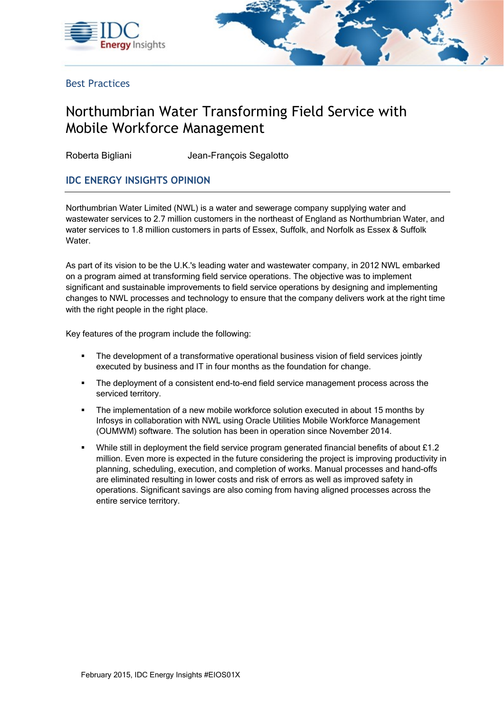



Best Practices

# Northumbrian Water Transforming Field Service with Mobile Workforce Management

Roberta Bigliani Jean-François Segalotto

# **IDC ENERGY INSIGHTS OPINION**

Northumbrian Water Limited (NWL) is a water and sewerage company supplying water and wastewater services to 2.7 million customers in the northeast of England as Northumbrian Water, and water services to 1.8 million customers in parts of Essex, Suffolk, and Norfolk as Essex & Suffolk Water.

As part of its vision to be the U.K.'s leading water and wastewater company, in 2012 NWL embarked on a program aimed at transforming field service operations. The objective was to implement significant and sustainable improvements to field service operations by designing and implementing changes to NWL processes and technology to ensure that the company delivers work at the right time with the right people in the right place.

Key features of the program include the following:

- The development of a transformative operational business vision of field services jointly executed by business and IT in four months as the foundation for change.
- The deployment of a consistent end-to-end field service management process across the serviced territory.
- The implementation of a new mobile workforce solution executed in about 15 months by Infosys in collaboration with NWL using Oracle Utilities Mobile Workforce Management (OUMWM) software. The solution has been in operation since November 2014.
- While still in deployment the field service program generated financial benefits of about £1.2 million. Even more is expected in the future considering the project is improving productivity in planning, scheduling, execution, and completion of works. Manual processes and hand-offs are eliminated resulting in lower costs and risk of errors as well as improved safety in operations. Significant savings are also coming from having aligned processes across the entire service territory.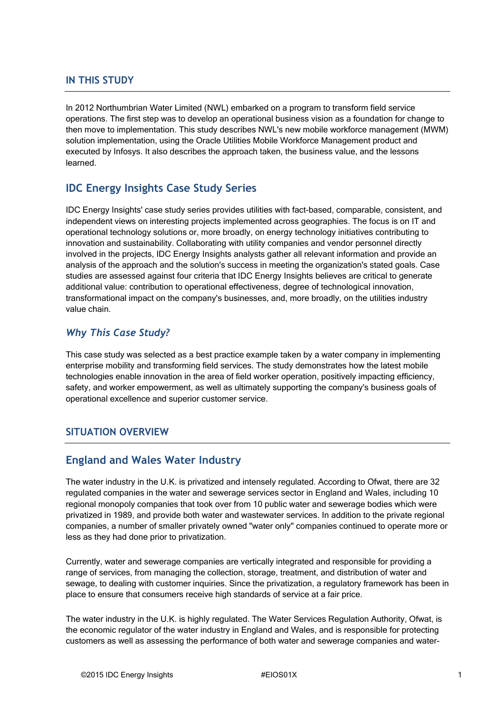#### **IN THIS STUDY**

In 2012 Northumbrian Water Limited (NWL) embarked on a program to transform field service operations. The first step was to develop an operational business vision as a foundation for change to then move to implementation. This study describes NWL's new mobile workforce management (MWM) solution implementation, using the Oracle Utilities Mobile Workforce Management product and executed by Infosys. It also describes the approach taken, the business value, and the lessons learned.

# **IDC Energy Insights Case Study Series**

IDC Energy Insights' case study series provides utilities with fact-based, comparable, consistent, and independent views on interesting projects implemented across geographies. The focus is on IT and operational technology solutions or, more broadly, on energy technology initiatives contributing to innovation and sustainability. Collaborating with utility companies and vendor personnel directly involved in the projects, IDC Energy Insights analysts gather all relevant information and provide an analysis of the approach and the solution's success in meeting the organization's stated goals. Case studies are assessed against four criteria that IDC Energy Insights believes are critical to generate additional value: contribution to operational effectiveness, degree of technological innovation, transformational impact on the company's businesses, and, more broadly, on the utilities industry value chain.

#### *Why This Case Study?*

This case study was selected as a best practice example taken by a water company in implementing enterprise mobility and transforming field services. The study demonstrates how the latest mobile technologies enable innovation in the area of field worker operation, positively impacting efficiency, safety, and worker empowerment, as well as ultimately supporting the company's business goals of operational excellence and superior customer service.

### **SITUATION OVERVIEW**

# **England and Wales Water Industry**

The water industry in the U.K. is privatized and intensely regulated. According to Ofwat, there are 32 regulated companies in the water and sewerage services sector in England and Wales, including 10 regional monopoly companies that took over from 10 public water and sewerage bodies which were privatized in 1989, and provide both water and wastewater services. In addition to the private regional companies, a number of smaller privately owned "water only" companies continued to operate more or less as they had done prior to privatization.

Currently, water and sewerage companies are vertically integrated and responsible for providing a range of services, from managing the collection, storage, treatment, and distribution of water and sewage, to dealing with customer inquiries. Since the privatization, a regulatory framework has been in place to ensure that consumers receive high standards of service at a fair price.

The water industry in the U.K. is highly regulated. The Water Services Regulation Authority, Ofwat, is the economic regulator of the water industry in England and Wales, and is responsible for protecting customers as well as assessing the performance of both water and sewerage companies and water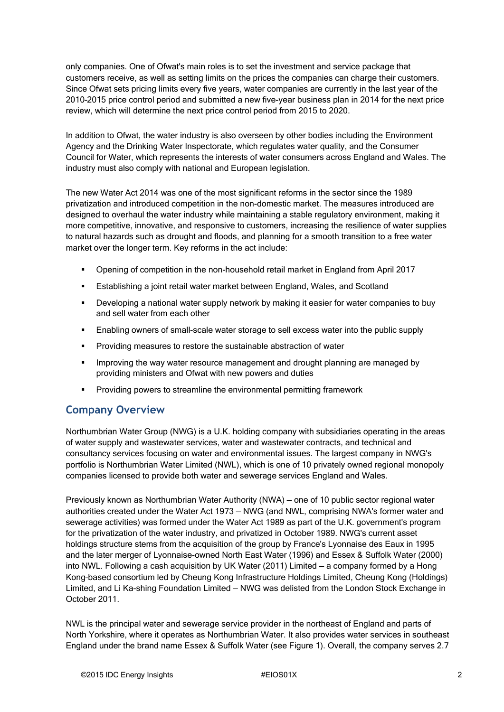only companies. One of Ofwat's main roles is to set the investment and service package that customers receive, as well as setting limits on the prices the companies can charge their customers. Since Ofwat sets pricing limits every five years, water companies are currently in the last year of the 2010–2015 price control period and submitted a new five-year business plan in 2014 for the next price review, which will determine the next price control period from 2015 to 2020.

In addition to Ofwat, the water industry is also overseen by other bodies including the Environment Agency and the Drinking Water Inspectorate, which regulates water quality, and the Consumer Council for Water, which represents the interests of water consumers across England and Wales. The industry must also comply with national and European legislation.

The new Water Act 2014 was one of the most significant reforms in the sector since the 1989 privatization and introduced competition in the non-domestic market. The measures introduced are designed to overhaul the water industry while maintaining a stable regulatory environment, making it more competitive, innovative, and responsive to customers, increasing the resilience of water supplies to natural hazards such as drought and floods, and planning for a smooth transition to a free water market over the longer term. Key reforms in the act include:

- Opening of competition in the non-household retail market in England from April 2017
- Establishing a joint retail water market between England, Wales, and Scotland
- Developing a national water supply network by making it easier for water companies to buy and sell water from each other
- **Enabling owners of small-scale water storage to sell excess water into the public supply**
- Providing measures to restore the sustainable abstraction of water
- Improving the way water resource management and drought planning are managed by providing ministers and Ofwat with new powers and duties
- Providing powers to streamline the environmental permitting framework

# **Company Overview**

Northumbrian Water Group (NWG) is a U.K. holding company with subsidiaries operating in the areas of water supply and wastewater services, water and wastewater contracts, and technical and consultancy services focusing on water and environmental issues. The largest company in NWG's portfolio is Northumbrian Water Limited (NWL), which is one of 10 privately owned regional monopoly companies licensed to provide both water and sewerage services England and Wales.

Previously known as Northumbrian Water Authority (NWA) — one of 10 public sector regional water authorities created under the Water Act 1973 — NWG (and NWL, comprising NWA's former water and sewerage activities) was formed under the Water Act 1989 as part of the U.K. government's program for the privatization of the water industry, and privatized in October 1989. NWG's current asset holdings structure stems from the acquisition of the group by France's Lyonnaise des Eaux in 1995 and the later merger of Lyonnaise-owned North East Water (1996) and Essex & Suffolk Water (2000) into NWL. Following a cash acquisition by UK Water (2011) Limited — a company formed by a Hong Kong–based consortium led by Cheung Kong Infrastructure Holdings Limited, Cheung Kong (Holdings) Limited, and Li Ka-shing Foundation Limited — NWG was delisted from the London Stock Exchange in October 2011.

NWL is the principal water and sewerage service provider in the northeast of England and parts of North Yorkshire, where it operates as Northumbrian Water. It also provides water services in southeast England under the brand name Essex & Suffolk Water (see Figure 1). Overall, the company serves 2.7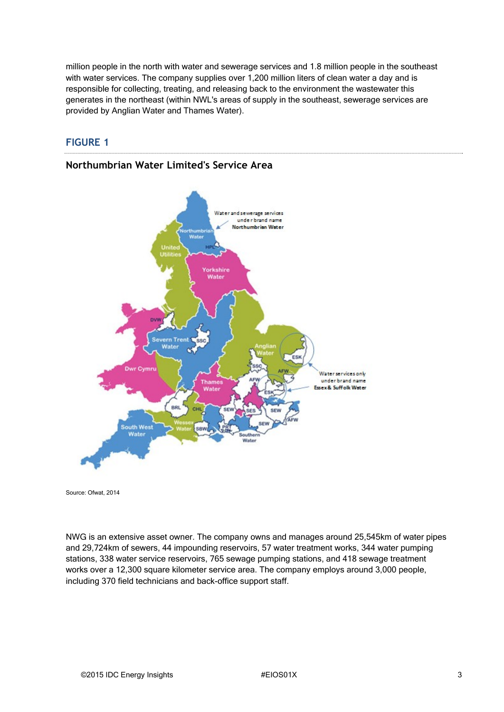million people in the north with water and sewerage services and 1.8 million people in the southeast with water services. The company supplies over 1,200 million liters of clean water a day and is responsible for collecting, treating, and releasing back to the environment the wastewater this generates in the northeast (within NWL's areas of supply in the southeast, sewerage services are provided by Anglian Water and Thames Water).

#### **FIGURE 1**

#### **Northumbrian Water Limited's Service Area**



Source: Ofwat, 2014

NWG is an extensive asset owner. The company owns and manages around 25,545km of water pipes and 29,724km of sewers, 44 impounding reservoirs, 57 water treatment works, 344 water pumping stations, 338 water service reservoirs, 765 sewage pumping stations, and 418 sewage treatment works over a 12,300 square kilometer service area. The company employs around 3,000 people, including 370 field technicians and back-office support staff.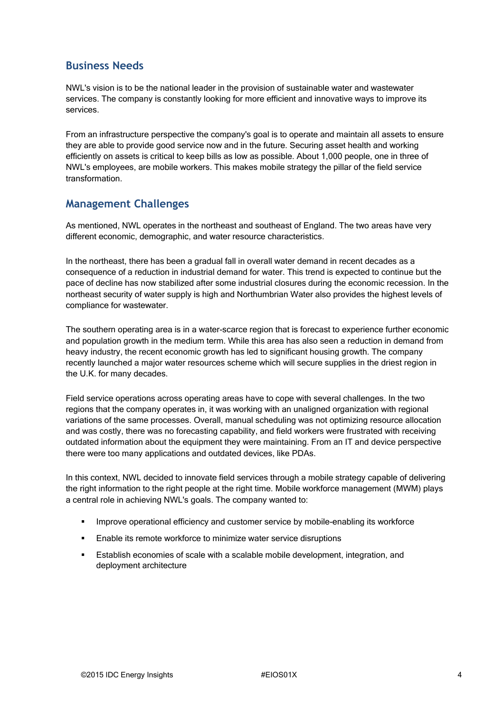# **Business Needs**

NWL's vision is to be the national leader in the provision of sustainable water and wastewater services. The company is constantly looking for more efficient and innovative ways to improve its services.

From an infrastructure perspective the company's goal is to operate and maintain all assets to ensure they are able to provide good service now and in the future. Securing asset health and working efficiently on assets is critical to keep bills as low as possible. About 1,000 people, one in three of NWL's employees, are mobile workers. This makes mobile strategy the pillar of the field service transformation.

# **Management Challenges**

As mentioned, NWL operates in the northeast and southeast of England. The two areas have very different economic, demographic, and water resource characteristics.

In the northeast, there has been a gradual fall in overall water demand in recent decades as a consequence of a reduction in industrial demand for water. This trend is expected to continue but the pace of decline has now stabilized after some industrial closures during the economic recession. In the northeast security of water supply is high and Northumbrian Water also provides the highest levels of compliance for wastewater.

The southern operating area is in a water-scarce region that is forecast to experience further economic and population growth in the medium term. While this area has also seen a reduction in demand from heavy industry, the recent economic growth has led to significant housing growth. The company recently launched a major water resources scheme which will secure supplies in the driest region in the U.K. for many decades.

Field service operations across operating areas have to cope with several challenges. In the two regions that the company operates in, it was working with an unaligned organization with regional variations of the same processes. Overall, manual scheduling was not optimizing resource allocation and was costly, there was no forecasting capability, and field workers were frustrated with receiving outdated information about the equipment they were maintaining. From an IT and device perspective there were too many applications and outdated devices, like PDAs.

In this context, NWL decided to innovate field services through a mobile strategy capable of delivering the right information to the right people at the right time. Mobile workforce management (MWM) plays a central role in achieving NWL's goals. The company wanted to:

- Improve operational efficiency and customer service by mobile-enabling its workforce
- Enable its remote workforce to minimize water service disruptions
- Establish economies of scale with a scalable mobile development, integration, and deployment architecture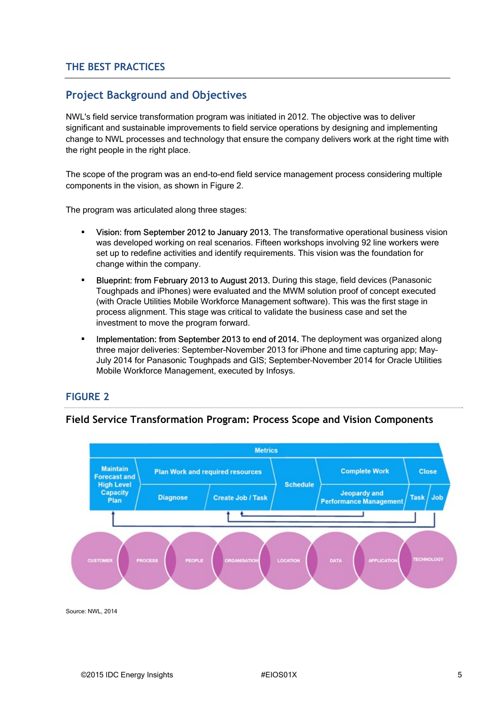### **THE BEST PRACTICES**

# **Project Background and Objectives**

NWL's field service transformation program was initiated in 2012. The objective was to deliver significant and sustainable improvements to field service operations by designing and implementing change to NWL processes and technology that ensure the company delivers work at the right time with the right people in the right place.

The scope of the program was an end-to-end field service management process considering multiple components in the vision, as shown in Figure 2.

The program was articulated along three stages:

- Vision: from September 2012 to January 2013. The transformative operational business vision was developed working on real scenarios. Fifteen workshops involving 92 line workers were set up to redefine activities and identify requirements. This vision was the foundation for change within the company.
- Blueprint: from February 2013 to August 2013. During this stage, field devices (Panasonic Toughpads and iPhones) were evaluated and the MWM solution proof of concept executed (with Oracle Utilities Mobile Workforce Management software). This was the first stage in process alignment. This stage was critical to validate the business case and set the investment to move the program forward.
- Implementation: from September 2013 to end of 2014. The deployment was organized along three major deliveries: September–November 2013 for iPhone and time capturing app; May– July 2014 for Panasonic Toughpads and GIS; September–November 2014 for Oracle Utilities Mobile Workforce Management, executed by Infosys.

#### **FIGURE 2**

#### **Field Service Transformation Program: Process Scope and Vision Components**



Source: NWL, 2014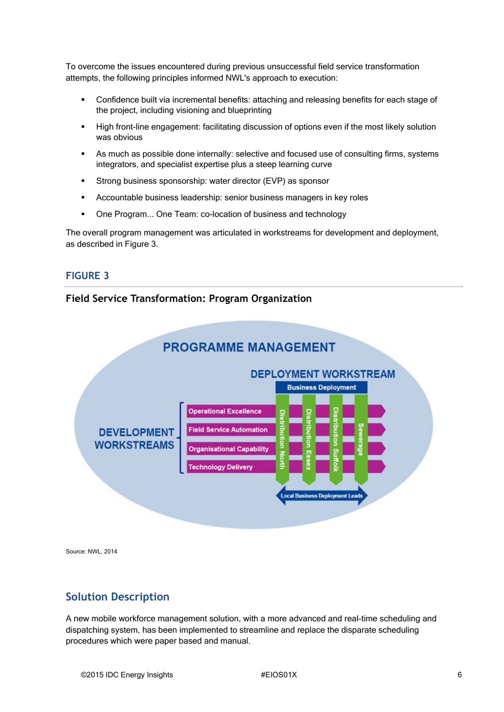To overcome the issues encountered during previous unsuccessful field service transformation attempts, the following principles informed NWL's approach to execution:

- Confidence built via incremental benefits: attaching and releasing benefits for each stage of the project, including visioning and blueprinting
- High front-line engagement: facilitating discussion of options even if the most likely solution was obvious
- As much as possible done internally: selective and focused use of consulting firms, systems integrators, and specialist expertise plus a steep learning curve
- Strong business sponsorship: water director (EVP) as sponsor
- Accountable business leadership: senior business managers in key roles
- One Program... One Team: co-location of business and technology

The overall program management was articulated in workstreams for development and deployment, as described in Figure 3.

#### **FIGURE 3**

### **Field Service Transformation: Program Organization**



Source: NWL, 2014

# **Solution Description**

A new mobile workforce management solution, with a more advanced and real-time scheduling and dispatching system, has been implemented to streamline and replace the disparate scheduling procedures which were paper based and manual.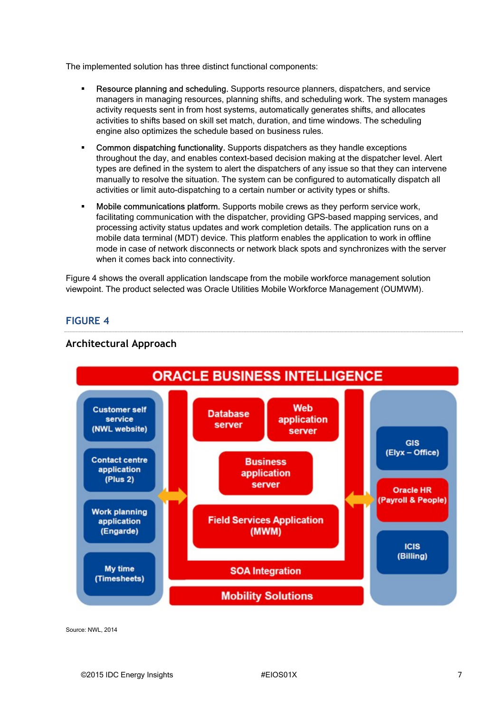The implemented solution has three distinct functional components:

- Resource planning and scheduling. Supports resource planners, dispatchers, and service managers in managing resources, planning shifts, and scheduling work. The system manages activity requests sent in from host systems, automatically generates shifts, and allocates activities to shifts based on skill set match, duration, and time windows. The scheduling engine also optimizes the schedule based on business rules.
- Common dispatching functionality. Supports dispatchers as they handle exceptions throughout the day, and enables context-based decision making at the dispatcher level. Alert types are defined in the system to alert the dispatchers of any issue so that they can intervene manually to resolve the situation. The system can be configured to automatically dispatch all activities or limit auto-dispatching to a certain number or activity types or shifts.
- Mobile communications platform. Supports mobile crews as they perform service work, facilitating communication with the dispatcher, providing GPS-based mapping services, and processing activity status updates and work completion details. The application runs on a mobile data terminal (MDT) device. This platform enables the application to work in offline mode in case of network disconnects or network black spots and synchronizes with the server when it comes back into connectivity.

Figure 4 shows the overall application landscape from the mobile workforce management solution viewpoint. The product selected was Oracle Utilities Mobile Workforce Management (OUMWM).

### **FIGURE 4**



#### **Architectural Approach**

Source: NWL, 2014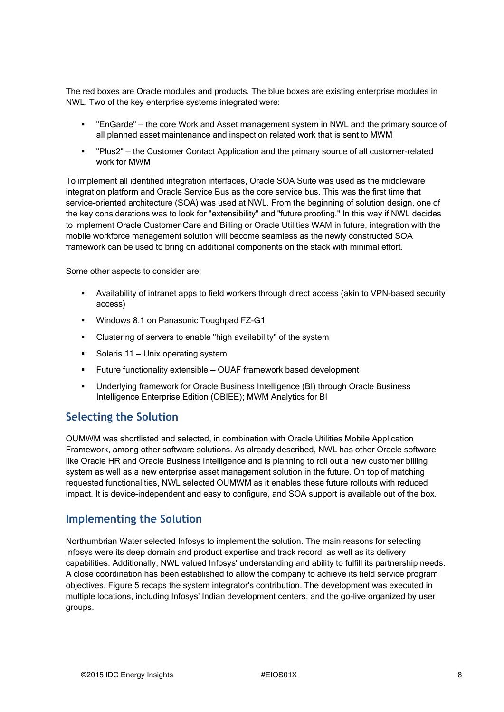The red boxes are Oracle modules and products. The blue boxes are existing enterprise modules in NWL. Two of the key enterprise systems integrated were:

- "EnGarde" the core Work and Asset management system in NWL and the primary source of all planned asset maintenance and inspection related work that is sent to MWM
- "Plus2" the Customer Contact Application and the primary source of all customer-related work for MWM

To implement all identified integration interfaces, Oracle SOA Suite was used as the middleware integration platform and Oracle Service Bus as the core service bus. This was the first time that service-oriented architecture (SOA) was used at NWL. From the beginning of solution design, one of the key considerations was to look for "extensibility" and "future proofing." In this way if NWL decides to implement Oracle Customer Care and Billing or Oracle Utilities WAM in future, integration with the mobile workforce management solution will become seamless as the newly constructed SOA framework can be used to bring on additional components on the stack with minimal effort.

Some other aspects to consider are:

- Availability of intranet apps to field workers through direct access (akin to VPN-based security access)
- **Windows 8.1 on Panasonic Toughpad FZ-G1**
- Clustering of servers to enable "high availability" of the system
- Solaris 11 Unix operating system
- Future functionality extensible OUAF framework based development
- Underlying framework for Oracle Business Intelligence (BI) through Oracle Business Intelligence Enterprise Edition (OBIEE); MWM Analytics for BI

### **Selecting the Solution**

OUMWM was shortlisted and selected, in combination with Oracle Utilities Mobile Application Framework, among other software solutions. As already described, NWL has other Oracle software like Oracle HR and Oracle Business Intelligence and is planning to roll out a new customer billing system as well as a new enterprise asset management solution in the future. On top of matching requested functionalities, NWL selected OUMWM as it enables these future rollouts with reduced impact. It is device-independent and easy to configure, and SOA support is available out of the box.

### **Implementing the Solution**

Northumbrian Water selected Infosys to implement the solution. The main reasons for selecting Infosys were its deep domain and product expertise and track record, as well as its delivery capabilities. Additionally, NWL valued Infosys' understanding and ability to fulfill its partnership needs. A close coordination has been established to allow the company to achieve its field service program objectives. Figure 5 recaps the system integrator's contribution. The development was executed in multiple locations, including Infosys' Indian development centers, and the go-live organized by user groups.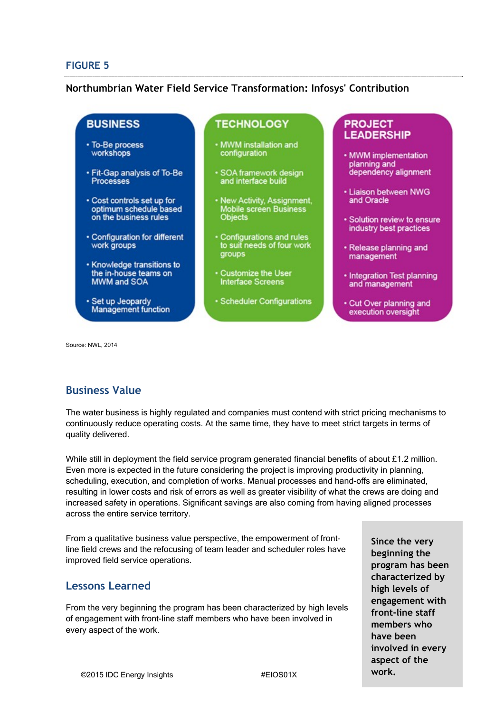#### **FIGURE 5**

#### **Northumbrian Water Field Service Transformation: Infosys' Contribution**

# **BUSINESS**

- To-Be process workshops
- · Fit-Gap analysis of To-Be **Processes**
- Cost controls set up for optimum schedule based on the business rules
- Configuration for different work groups
- Knowledge transitions to the in-house teams on **MWM and SOA**
- · Set up Jeopardy **Management function**

### **TECHNOLOGY**

- . MWM installation and configuration
- SOA framework design<br>and interface build
- New Activity, Assignment,<br>Mobile screen Business<br>Objects
- Configurations and rules to suit needs of four work **groups**
- Customize the User **Interface Screens**
- · Scheduler Configurations

#### **PROJECT LEADERSHIP**

- MWM implementation planning and dependency alignment
- · Liaison between NWG and Oracle
- · Solution review to ensure industry best practices
- · Release planning and management
- Integration Test planning and management
- . Cut Over planning and execution oversight

Source: NWL, 2014

# **Business Value**

The water business is highly regulated and companies must contend with strict pricing mechanisms to continuously reduce operating costs. At the same time, they have to meet strict targets in terms of quality delivered.

While still in deployment the field service program generated financial benefits of about £1.2 million. Even more is expected in the future considering the project is improving productivity in planning, scheduling, execution, and completion of works. Manual processes and hand-offs are eliminated, resulting in lower costs and risk of errors as well as greater visibility of what the crews are doing and increased safety in operations. Significant savings are also coming from having aligned processes across the entire service territory.

From a qualitative business value perspective, the empowerment of frontline field crews and the refocusing of team leader and scheduler roles have improved field service operations.

# **Lessons Learned**

From the very beginning the program has been characterized by high levels of engagement with front-line staff members who have been involved in every aspect of the work.

**Since the very beginning the program has been characterized by high levels of engagement with front-line staff members who have been involved in every aspect of the work.**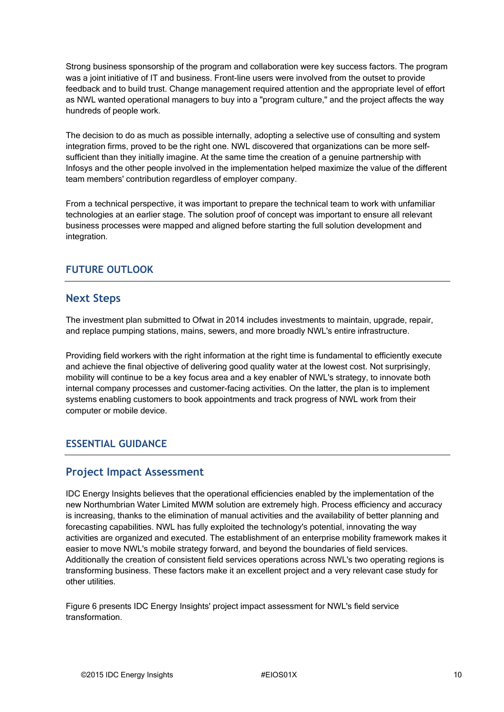Strong business sponsorship of the program and collaboration were key success factors. The program was a joint initiative of IT and business. Front-line users were involved from the outset to provide feedback and to build trust. Change management required attention and the appropriate level of effort as NWL wanted operational managers to buy into a "program culture," and the project affects the way hundreds of people work.

The decision to do as much as possible internally, adopting a selective use of consulting and system integration firms, proved to be the right one. NWL discovered that organizations can be more selfsufficient than they initially imagine. At the same time the creation of a genuine partnership with Infosys and the other people involved in the implementation helped maximize the value of the different team members' contribution regardless of employer company.

From a technical perspective, it was important to prepare the technical team to work with unfamiliar technologies at an earlier stage. The solution proof of concept was important to ensure all relevant business processes were mapped and aligned before starting the full solution development and integration.

# **FUTURE OUTLOOK**

### **Next Steps**

The investment plan submitted to Ofwat in 2014 includes investments to maintain, upgrade, repair, and replace pumping stations, mains, sewers, and more broadly NWL's entire infrastructure.

Providing field workers with the right information at the right time is fundamental to efficiently execute and achieve the final objective of delivering good quality water at the lowest cost. Not surprisingly, mobility will continue to be a key focus area and a key enabler of NWL's strategy, to innovate both internal company processes and customer-facing activities. On the latter, the plan is to implement systems enabling customers to book appointments and track progress of NWL work from their computer or mobile device.

### **ESSENTIAL GUIDANCE**

### **Project Impact Assessment**

IDC Energy Insights believes that the operational efficiencies enabled by the implementation of the new Northumbrian Water Limited MWM solution are extremely high. Process efficiency and accuracy is increasing, thanks to the elimination of manual activities and the availability of better planning and forecasting capabilities. NWL has fully exploited the technology's potential, innovating the way activities are organized and executed. The establishment of an enterprise mobility framework makes it easier to move NWL's mobile strategy forward, and beyond the boundaries of field services. Additionally the creation of consistent field services operations across NWL's two operating regions is transforming business. These factors make it an excellent project and a very relevant case study for other utilities.

Figure 6 presents IDC Energy Insights' project impact assessment for NWL's field service transformation.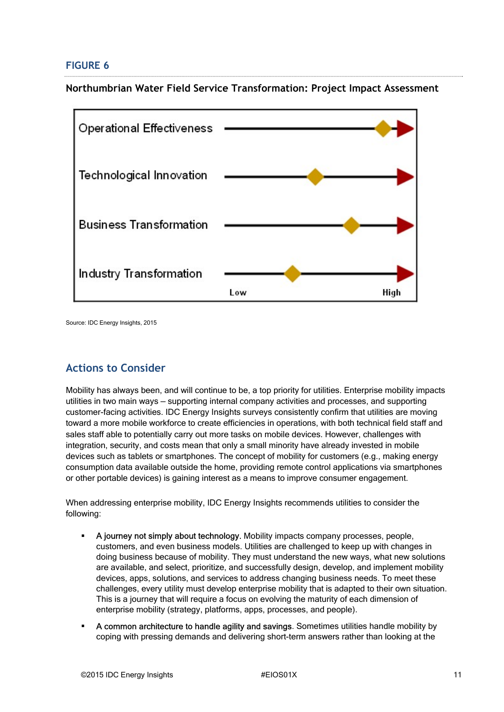### **FIGURE 6**

**Northumbrian Water Field Service Transformation: Project Impact Assessment**



Source: IDC Energy Insights, 2015

# **Actions to Consider**

Mobility has always been, and will continue to be, a top priority for utilities. Enterprise mobility impacts utilities in two main ways — supporting internal company activities and processes, and supporting customer-facing activities. IDC Energy Insights surveys consistently confirm that utilities are moving toward a more mobile workforce to create efficiencies in operations, with both technical field staff and sales staff able to potentially carry out more tasks on mobile devices. However, challenges with integration, security, and costs mean that only a small minority have already invested in mobile devices such as tablets or smartphones. The concept of mobility for customers (e.g., making energy consumption data available outside the home, providing remote control applications via smartphones or other portable devices) is gaining interest as a means to improve consumer engagement.

When addressing enterprise mobility, IDC Energy Insights recommends utilities to consider the following:

- A journey not simply about technology. Mobility impacts company processes, people, customers, and even business models. Utilities are challenged to keep up with changes in doing business because of mobility. They must understand the new ways, what new solutions are available, and select, prioritize, and successfully design, develop, and implement mobility devices, apps, solutions, and services to address changing business needs. To meet these challenges, every utility must develop enterprise mobility that is adapted to their own situation. This is a journey that will require a focus on evolving the maturity of each dimension of enterprise mobility (strategy, platforms, apps, processes, and people).
- A common architecture to handle agility and savings. Sometimes utilities handle mobility by coping with pressing demands and delivering short-term answers rather than looking at the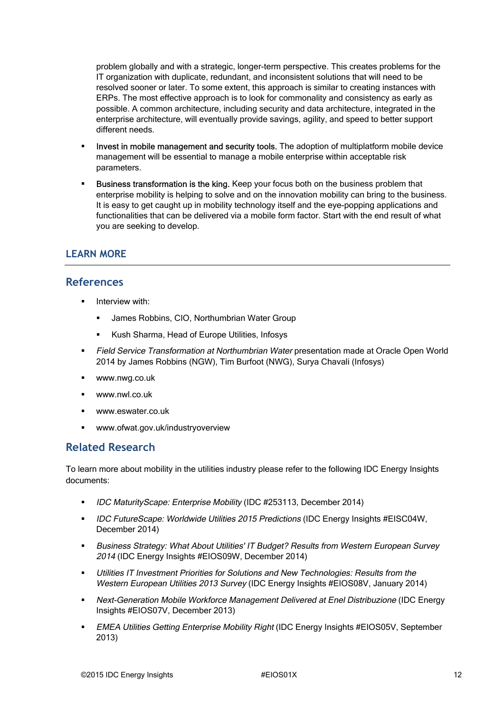problem globally and with a strategic, longer-term perspective. This creates problems for the IT organization with duplicate, redundant, and inconsistent solutions that will need to be resolved sooner or later. To some extent, this approach is similar to creating instances with ERPs. The most effective approach is to look for commonality and consistency as early as possible. A common architecture, including security and data architecture, integrated in the enterprise architecture, will eventually provide savings, agility, and speed to better support different needs.

- Invest in mobile management and security tools. The adoption of multiplatform mobile device management will be essential to manage a mobile enterprise within acceptable risk parameters.
- Business transformation is the king. Keep your focus both on the business problem that enterprise mobility is helping to solve and on the innovation mobility can bring to the business. It is easy to get caught up in mobility technology itself and the eye-popping applications and functionalities that can be delivered via a mobile form factor. Start with the end result of what you are seeking to develop.

### **LEARN MORE**

#### **References**

- Interview with:
	- James Robbins, CIO, Northumbrian Water Group
	- Kush Sharma, Head of Europe Utilities, Infosys
- Field Service Transformation at Northumbrian Water presentation made at Oracle Open World 2014 by James Robbins (NGW), Tim Burfoot (NWG), Surya Chavali (Infosys)
- www.nwg.co.uk
- www.nwl.co.uk
- www.eswater.co.uk
- www.ofwat.gov.uk/industryoverview

### **Related Research**

To learn more about mobility in the utilities industry please refer to the following IDC Energy Insights documents:

- **IDC MaturityScape: Enterprise Mobility (IDC #253113, December 2014)**
- **IDC FutureScape: Worldwide Utilities 2015 Predictions (IDC Energy Insights #EISC04W,** December 2014)
- Business Strategy: What About Utilities' IT Budget? Results from Western European Survey 2014 (IDC Energy Insights #EIOS09W, December 2014)
- Utilities IT Investment Priorities for Solutions and New Technologies: Results from the Western European Utilities 2013 Survey (IDC Energy Insights #EIOS08V, January 2014)
- Next-Generation Mobile Workforce Management Delivered at Enel Distribuzione (IDC Energy Insights #EIOS07V, December 2013)
- **EMEA Utilities Getting Enterprise Mobility Right (IDC Energy Insights #EIOS05V, September** 2013)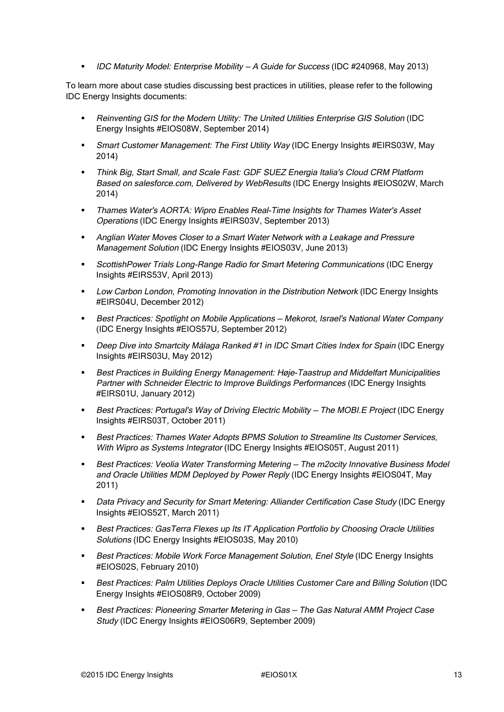IDC Maturity Model: Enterprise Mobility — A Guide for Success (IDC #240968, May 2013)

To learn more about case studies discussing best practices in utilities, please refer to the following IDC Energy Insights documents:

- Reinventing GIS for the Modern Utility: The United Utilities Enterprise GIS Solution (IDC Energy Insights #EIOS08W, September 2014)
- Smart Customer Management: The First Utility Way (IDC Energy Insights #EIRS03W, May 2014)
- Think Big, Start Small, and Scale Fast: GDF SUEZ Energia Italia's Cloud CRM Platform Based on salesforce.com, Delivered by WebResults (IDC Energy Insights #EIOS02W, March 2014)
- Thames Water's AORTA: Wipro Enables Real-Time Insights for Thames Water's Asset Operations (IDC Energy Insights #EIRS03V, September 2013)
- Anglian Water Moves Closer to a Smart Water Network with a Leakage and Pressure Management Solution (IDC Energy Insights #EIOS03V, June 2013)
- ScottishPower Trials Long-Range Radio for Smart Metering Communications (IDC Energy Insights #EIRS53V, April 2013)
- Low Carbon London, Promoting Innovation in the Distribution Network (IDC Energy Insights #EIRS04U, December 2012)
- Best Practices: Spotlight on Mobile Applications Mekorot, Israel's National Water Company (IDC Energy Insights #EIOS57U, September 2012)
- Deep Dive into Smartcity Málaga Ranked #1 in IDC Smart Cities Index for Spain (IDC Energy Insights #EIRS03U, May 2012)
- Best Practices in Building Energy Management: Høje-Taastrup and Middelfart Municipalities Partner with Schneider Electric to Improve Buildings Performances (IDC Energy Insights #EIRS01U, January 2012)
- Best Practices: Portugal's Way of Driving Electric Mobility The MOBI.E Project (IDC Energy Insights #EIRS03T, October 2011)
- Best Practices: Thames Water Adopts BPMS Solution to Streamline Its Customer Services, With Wipro as Systems Integrator (IDC Energy Insights #EIOS05T, August 2011)
- Best Practices: Veolia Water Transforming Metering The m2ocity Innovative Business Model and Oracle Utilities MDM Deployed by Power Reply (IDC Energy Insights #EIOS04T, May 2011)
- Data Privacy and Security for Smart Metering: Alliander Certification Case Study (IDC Energy Insights #EIOS52T, March 2011)
- Best Practices: GasTerra Flexes up Its IT Application Portfolio by Choosing Oracle Utilities Solutions (IDC Energy Insights #EIOS03S, May 2010)
- Best Practices: Mobile Work Force Management Solution, Enel Style (IDC Energy Insights #EIOS02S, February 2010)
- Best Practices: Palm Utilities Deploys Oracle Utilities Customer Care and Billing Solution (IDC Energy Insights #EIOS08R9, October 2009)
- Best Practices: Pioneering Smarter Metering in Gas The Gas Natural AMM Project Case Study (IDC Energy Insights #EIOS06R9, September 2009)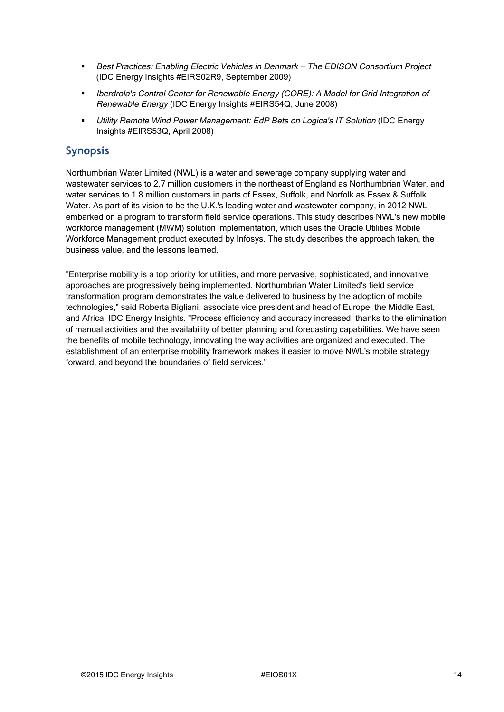- **Best Practices: Enabling Electric Vehicles in Denmark The EDISON Consortium Project** (IDC Energy Insights #EIRS02R9, September 2009)
- Iberdrola's Control Center for Renewable Energy (CORE): A Model for Grid Integration of Renewable Energy (IDC Energy Insights #EIRS54Q, June 2008)
- Utility Remote Wind Power Management: EdP Bets on Logica's IT Solution (IDC Energy Insights #EIRS53Q, April 2008)

# **Synopsis**

Northumbrian Water Limited (NWL) is a water and sewerage company supplying water and wastewater services to 2.7 million customers in the northeast of England as Northumbrian Water, and water services to 1.8 million customers in parts of Essex, Suffolk, and Norfolk as Essex & Suffolk Water. As part of its vision to be the U.K.'s leading water and wastewater company, in 2012 NWL embarked on a program to transform field service operations. This study describes NWL's new mobile workforce management (MWM) solution implementation, which uses the Oracle Utilities Mobile Workforce Management product executed by Infosys. The study describes the approach taken, the business value, and the lessons learned.

"Enterprise mobility is a top priority for utilities, and more pervasive, sophisticated, and innovative approaches are progressively being implemented. Northumbrian Water Limited's field service transformation program demonstrates the value delivered to business by the adoption of mobile technologies," said Roberta Bigliani, associate vice president and head of Europe, the Middle East, and Africa, IDC Energy Insights. "Process efficiency and accuracy increased, thanks to the elimination of manual activities and the availability of better planning and forecasting capabilities. We have seen the benefits of mobile technology, innovating the way activities are organized and executed. The establishment of an enterprise mobility framework makes it easier to move NWL's mobile strategy forward, and beyond the boundaries of field services."